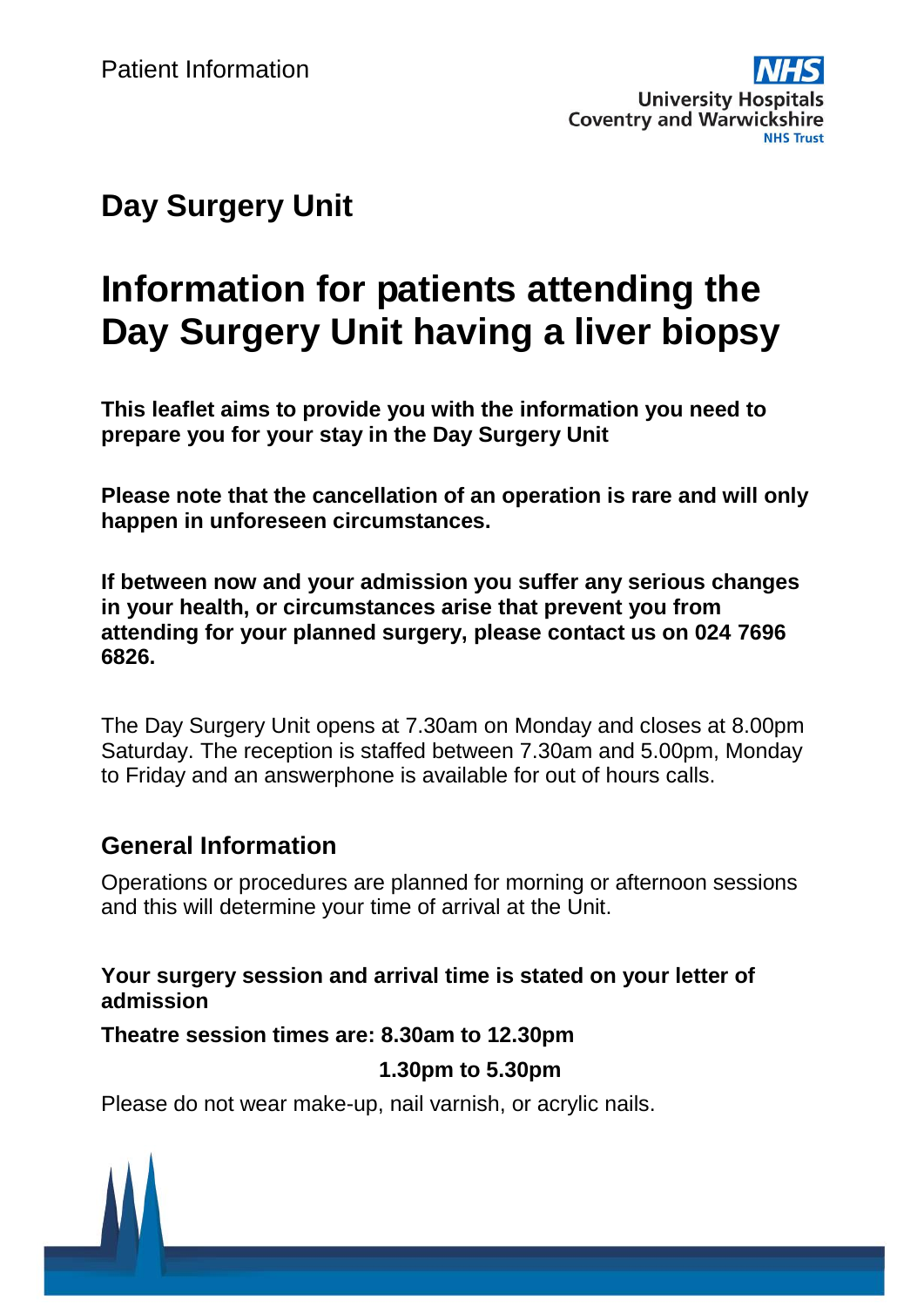## **Day Surgery Unit**

# **Information for patients attending the Day Surgery Unit having a liver biopsy**

**This leaflet aims to provide you with the information you need to prepare you for your stay in the Day Surgery Unit**

**Please note that the cancellation of an operation is rare and will only happen in unforeseen circumstances.**

**If between now and your admission you suffer any serious changes in your health, or circumstances arise that prevent you from attending for your planned surgery, please contact us on 024 7696 6826.**

The Day Surgery Unit opens at 7.30am on Monday and closes at 8.00pm Saturday. The reception is staffed between 7.30am and 5.00pm, Monday to Friday and an answerphone is available for out of hours calls.

#### **General Information**

Operations or procedures are planned for morning or afternoon sessions and this will determine your time of arrival at the Unit.

**Your surgery session and arrival time is stated on your letter of admission**

**Theatre session times are: 8.30am to 12.30pm**

#### **1.30pm to 5.30pm**

Please do not wear make-up, nail varnish, or acrylic nails.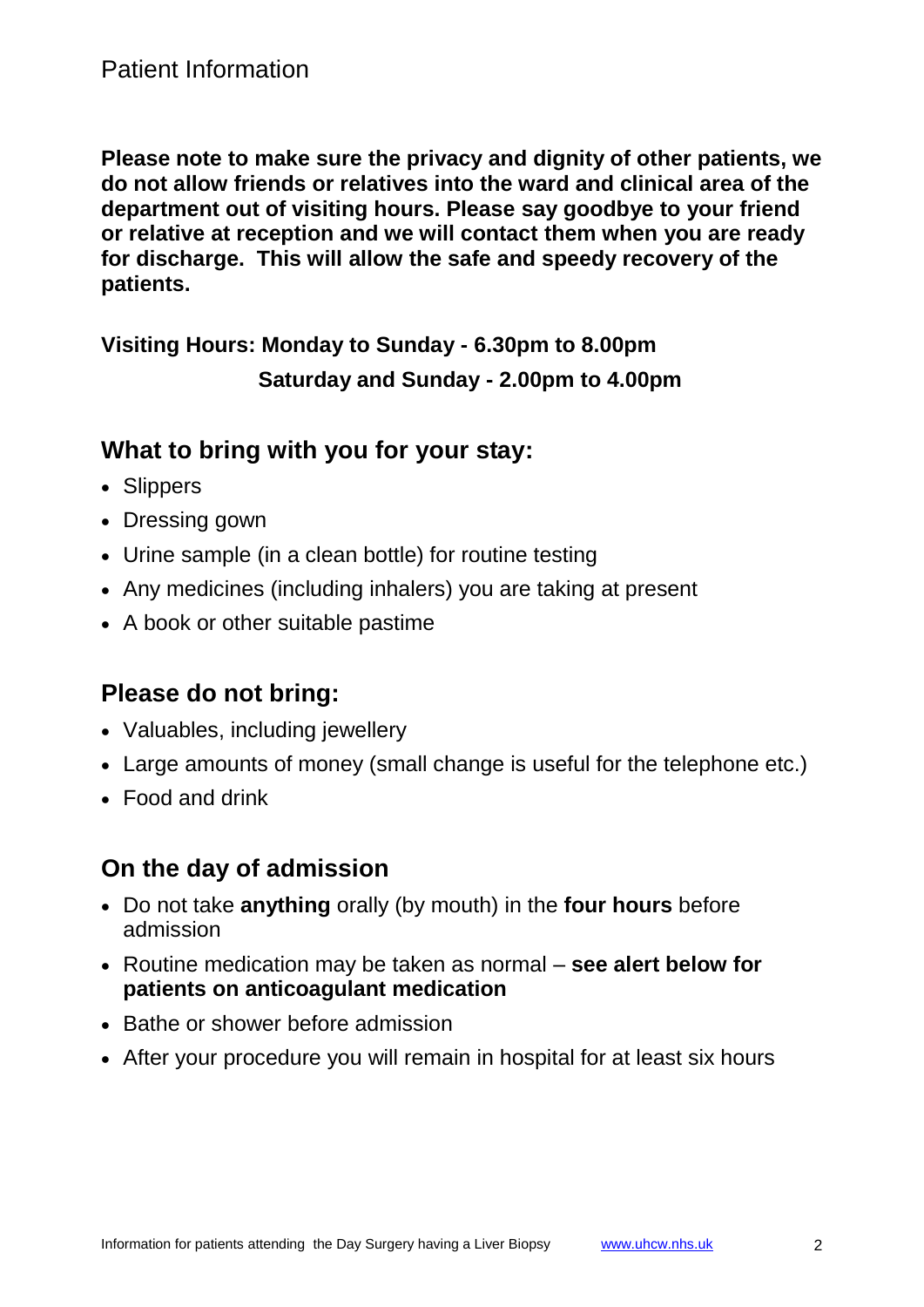**Please note to make sure the privacy and dignity of other patients, we do not allow friends or relatives into the ward and clinical area of the department out of visiting hours. Please say goodbye to your friend or relative at reception and we will contact them when you are ready for discharge. This will allow the safe and speedy recovery of the patients.**

**Visiting Hours: Monday to Sunday - 6.30pm to 8.00pm Saturday and Sunday - 2.00pm to 4.00pm**

#### **What to bring with you for your stay:**

- Slippers
- Dressing gown
- Urine sample (in a clean bottle) for routine testing
- Any medicines (including inhalers) you are taking at present
- A book or other suitable pastime

## **Please do not bring:**

- Valuables, including jewellery
- Large amounts of money (small change is useful for the telephone etc.)
- Food and drink

## **On the day of admission**

- Do not take **anything** orally (by mouth) in the **four hours** before admission
- Routine medication may be taken as normal **see alert below for patients on anticoagulant medication**
- Bathe or shower before admission
- After your procedure you will remain in hospital for at least six hours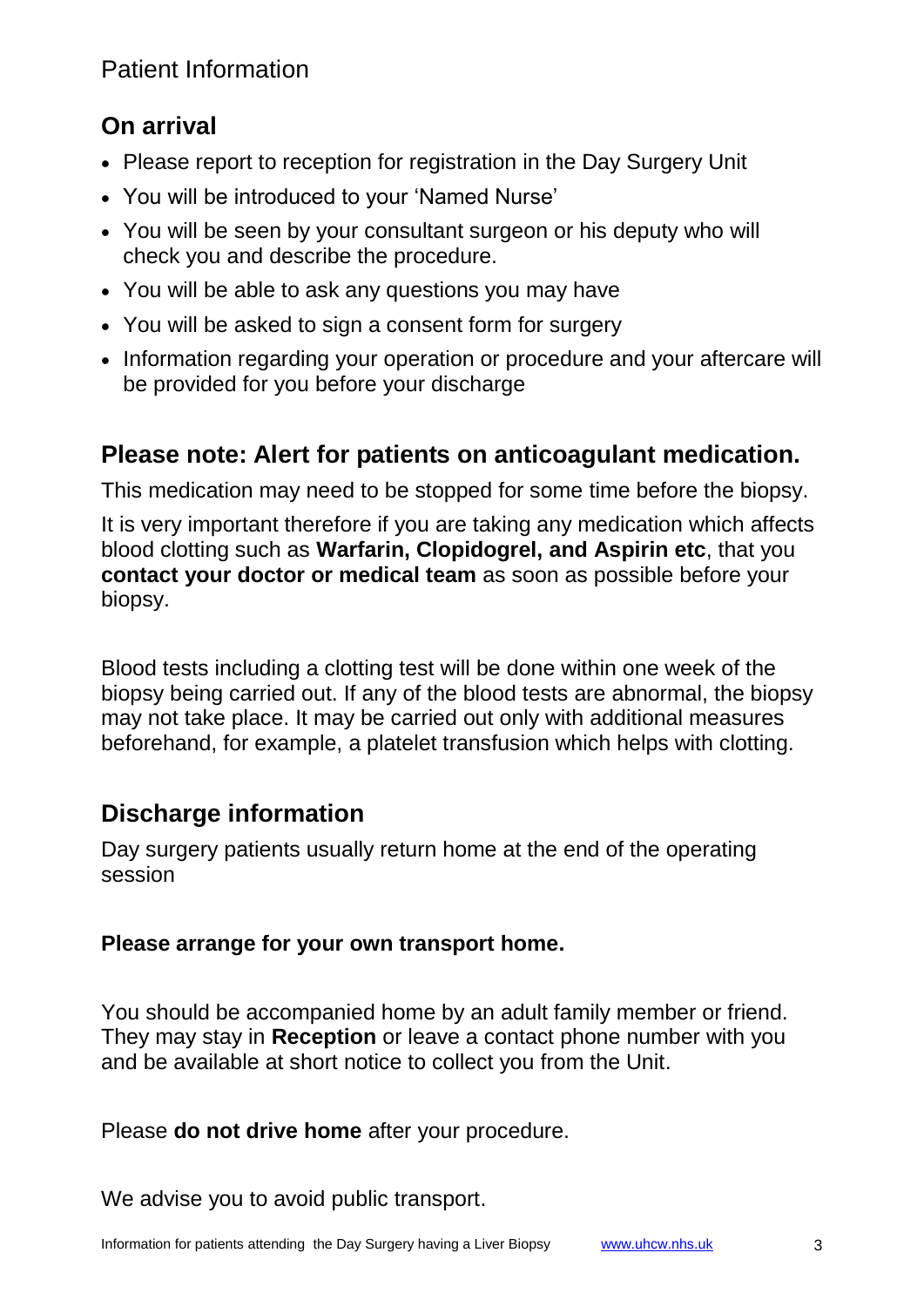## **On arrival**

- Please report to reception for registration in the Day Surgery Unit
- You will be introduced to your 'Named Nurse'
- You will be seen by your consultant surgeon or his deputy who will check you and describe the procedure.
- You will be able to ask any questions you may have
- You will be asked to sign a consent form for surgery
- Information regarding your operation or procedure and your aftercare will be provided for you before your discharge

## **Please note: Alert for patients on anticoagulant medication.**

This medication may need to be stopped for some time before the biopsy.

It is very important therefore if you are taking any medication which affects blood clotting such as **Warfarin, Clopidogrel, and Aspirin etc**, that you **contact your doctor or medical team** as soon as possible before your biopsy.

Blood tests including a clotting test will be done within one week of the biopsy being carried out. If any of the blood tests are abnormal, the biopsy may not take place. It may be carried out only with additional measures beforehand, for example, a platelet transfusion which helps with clotting.

## **Discharge information**

Day surgery patients usually return home at the end of the operating session

### **Please arrange for your own transport home.**

You should be accompanied home by an adult family member or friend. They may stay in **Reception** or leave a contact phone number with you and be available at short notice to collect you from the Unit.

Please **do not drive home** after your procedure.

We advise you to avoid public transport.